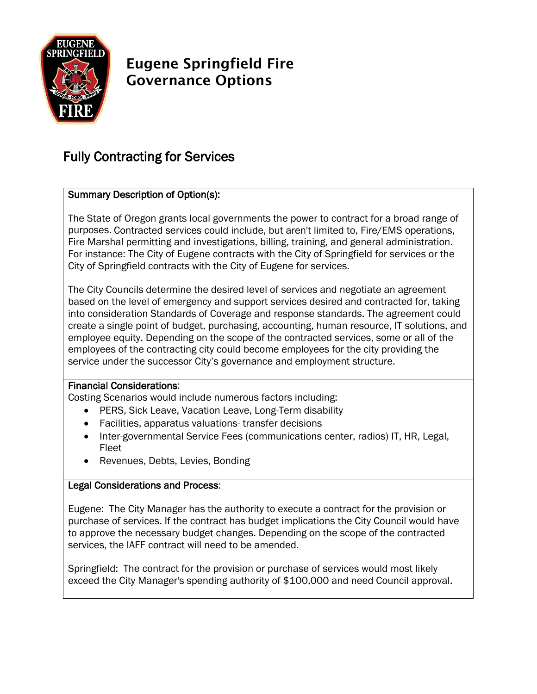

# Eugene Springfield Fire Governance Options

## Fully Contracting for Services

### Summary Description of Option(s):

The State of Oregon grants local governments the power to contract for a broad range of purposes. Contracted services could include, but aren't limited to, Fire/EMS operations, Fire Marshal permitting and investigations, billing, training, and general administration. For instance: The City of Eugene contracts with the City of Springfield for services or the City of Springfield contracts with the City of Eugene for services.

The City Councils determine the desired level of services and negotiate an agreement based on the level of emergency and support services desired and contracted for, taking into consideration Standards of Coverage and response standards. The agreement could create a single point of budget, purchasing, accounting, human resource, IT solutions, and employee equity. Depending on the scope of the contracted services, some or all of the employees of the contracting city could become employees for the city providing the service under the successor City's governance and employment structure.

#### Financial Considerations:

Costing Scenarios would include numerous factors including:

- PERS, Sick Leave, Vacation Leave, Long-Term disability
- Facilities, apparatus valuations- transfer decisions
- Inter-governmental Service Fees (communications center, radios) IT, HR, Legal, Fleet
- Revenues, Debts, Levies, Bonding

#### Legal Considerations and Process:

Eugene: The City Manager has the authority to execute a contract for the provision or purchase of services. If the contract has budget implications the City Council would have to approve the necessary budget changes. Depending on the scope of the contracted services, the IAFF contract will need to be amended.

Springfield: The contract for the provision or purchase of services would most likely exceed the City Manager's spending authority of \$100,000 and need Council approval.